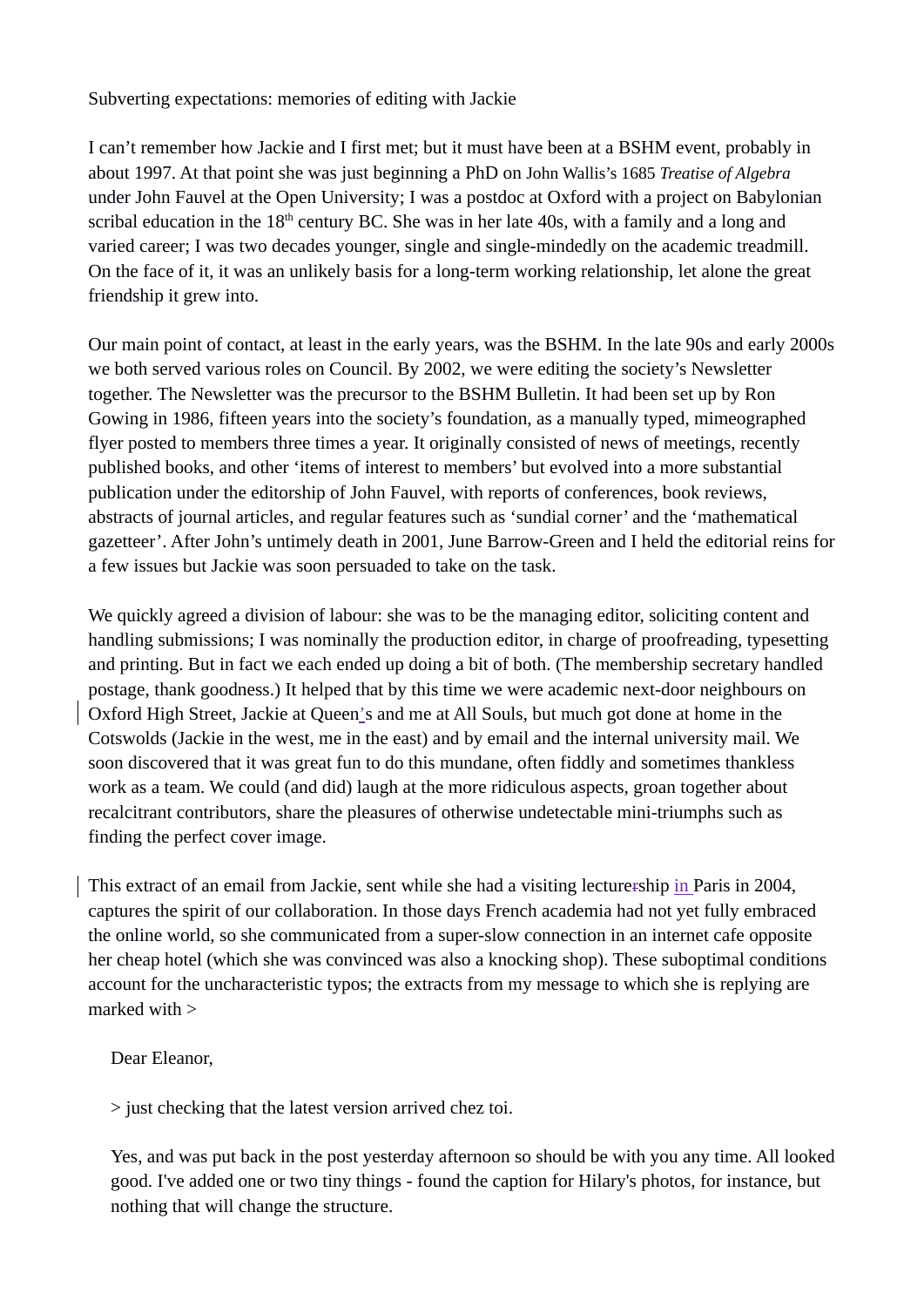Subverting expectations: memories of editing with Jackie

I can't remember how Jackie and I first met; but it must have been at a BSHM event, probably in about 1997. At that point she was just beginning a PhD on John Wallis's 1685 *Treatise of Algebra* under John Fauvel at the Open University; I was a postdoc at Oxford with a project on Babylonian scribal education in the  $18<sup>th</sup>$  century BC. She was in her late 40s, with a family and a long and varied career; I was two decades younger, single and single-mindedly on the academic treadmill. On the face of it, it was an unlikely basis for a long-term working relationship, let alone the great friendship it grew into.

Our main point of contact, at least in the early years, was the BSHM. In the late 90s and early 2000s we both served various roles on Council. By 2002, we were editing the society's Newsletter together. The Newsletter was the precursor to the BSHM Bulletin. It had been set up by Ron Gowing in 1986, fifteen years into the society's foundation, as a manually typed, mimeographed flyer posted to members three times a year. It originally consisted of news of meetings, recently published books, and other 'items of interest to members' but evolved into a more substantial publication under the editorship of John Fauvel, with reports of conferences, book reviews, abstracts of journal articles, and regular features such as 'sundial corner' and the 'mathematical gazetteer'. After John's untimely death in 2001, June Barrow-Green and I held the editorial reins for a few issues but Jackie was soon persuaded to take on the task.

We quickly agreed a division of labour: she was to be the managing editor, soliciting content and handling submissions; I was nominally the production editor, in charge of proofreading, typesetting and printing. But in fact we each ended up doing a bit of both. (The membership secretary handled postage, thank goodness.) It helped that by this time we were academic next-door neighbours on Oxford High Street, Jackie at Queen's and me at All Souls, but much got done at home in the Cotswolds (Jackie in the west, me in the east) and by email and the internal university mail. We soon discovered that it was great fun to do this mundane, often fiddly and sometimes thankless work as a team. We could (and did) laugh at the more ridiculous aspects, groan together about recalcitrant contributors, share the pleasures of otherwise undetectable mini-triumphs such as finding the perfect cover image.

This extract of an email from Jackie, sent while she had a visiting lecturership in Paris in 2004, captures the spirit of our collaboration. In those days French academia had not yet fully embraced the online world, so she communicated from a super-slow connection in an internet cafe opposite her cheap hotel (which she was convinced was also a knocking shop). These suboptimal conditions account for the uncharacteristic typos; the extracts from my message to which she is replying are marked with >

Dear Eleanor,

> just checking that the latest version arrived chez toi.

Yes, and was put back in the post yesterday afternoon so should be with you any time. All looked good. I've added one or two tiny things - found the caption for Hilary's photos, for instance, but nothing that will change the structure.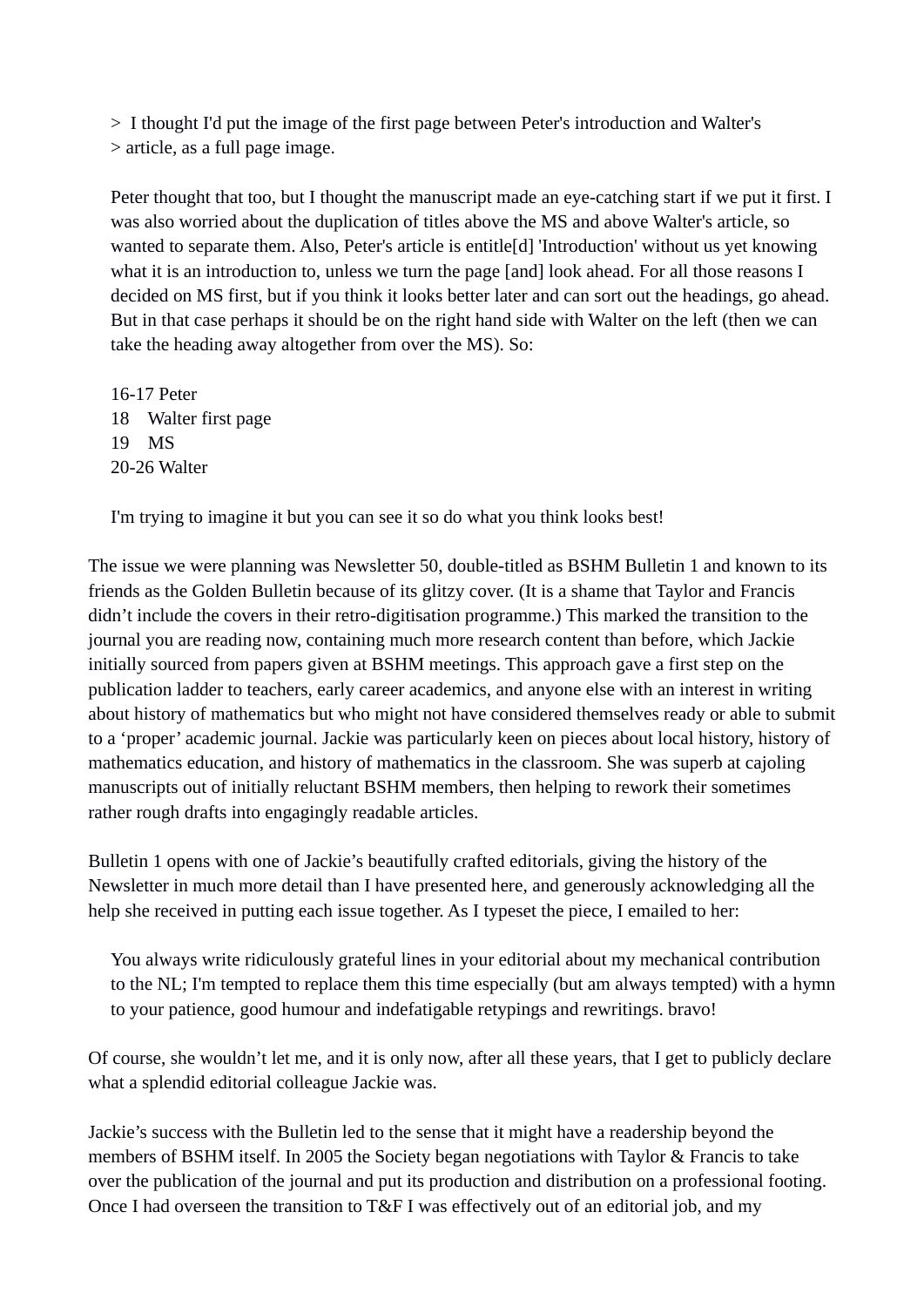> I thought I'd put the image of the first page between Peter's introduction and Walter's > article, as a full page image.

Peter thought that too, but I thought the manuscript made an eye-catching start if we put it first. I was also worried about the duplication of titles above the MS and above Walter's article, so wanted to separate them. Also, Peter's article is entitle[d] 'Introduction' without us yet knowing what it is an introduction to, unless we turn the page [and] look ahead. For all those reasons I decided on MS first, but if you think it looks better later and can sort out the headings, go ahead. But in that case perhaps it should be on the right hand side with Walter on the left (then we can take the heading away altogether from over the MS). So:

16-17 Peter 18 Walter first page 19 MS 20-26 Walter

I'm trying to imagine it but you can see it so do what you think looks best!

The issue we were planning was Newsletter 50, double-titled as BSHM Bulletin 1 and known to its friends as the Golden Bulletin because of its glitzy cover. (It is a shame that Taylor and Francis didn't include the covers in their retro-digitisation programme.) This marked the transition to the journal you are reading now, containing much more research content than before, which Jackie initially sourced from papers given at BSHM meetings. This approach gave a first step on the publication ladder to teachers, early career academics, and anyone else with an interest in writing about history of mathematics but who might not have considered themselves ready or able to submit to a 'proper' academic journal. Jackie was particularly keen on pieces about local history, history of mathematics education, and history of mathematics in the classroom. She was superb at cajoling manuscripts out of initially reluctant BSHM members, then helping to rework their sometimes rather rough drafts into engagingly readable articles.

Bulletin 1 opens with one of Jackie's beautifully crafted editorials, giving the history of the Newsletter in much more detail than I have presented here, and generously acknowledging all the help she received in putting each issue together. As I typeset the piece, I emailed to her:

You always write ridiculously grateful lines in your editorial about my mechanical contribution to the NL; I'm tempted to replace them this time especially (but am always tempted) with a hymn to your patience, good humour and indefatigable retypings and rewritings. bravo!

Of course, she wouldn't let me, and it is only now, after all these years, that I get to publicly declare what a splendid editorial colleague Jackie was.

Jackie's success with the Bulletin led to the sense that it might have a readership beyond the members of BSHM itself. In 2005 the Society began negotiations with Taylor & Francis to take over the publication of the journal and put its production and distribution on a professional footing. Once I had overseen the transition to T&F I was effectively out of an editorial job, and my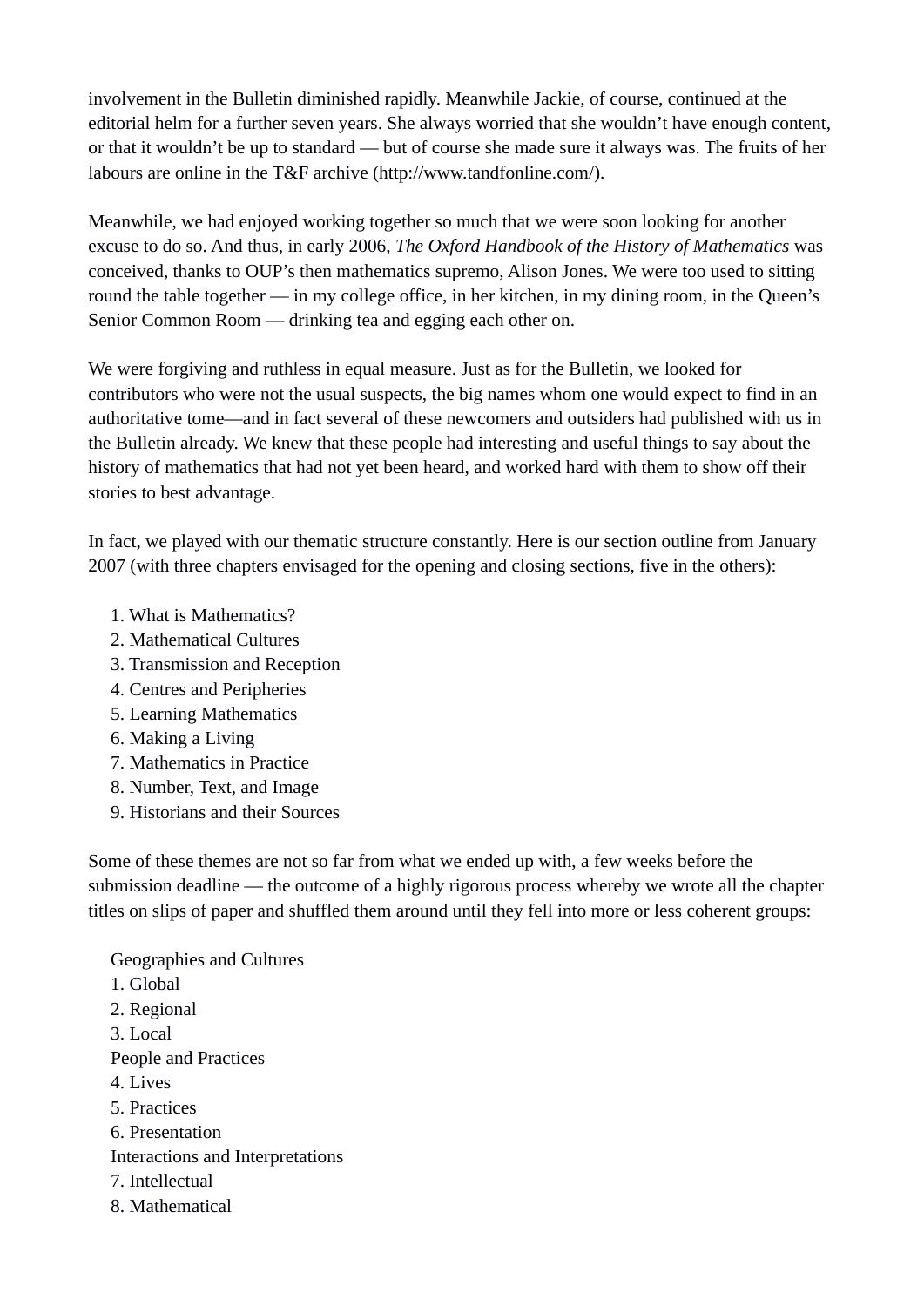involvement in the Bulletin diminished rapidly. Meanwhile Jackie, of course, continued at the editorial helm for a further seven years. She always worried that she wouldn't have enough content, or that it wouldn't be up to standard — but of course she made sure it always was. The fruits of her labours are online in the T&F archive (http://www.tandfonline.com/).

Meanwhile, we had enjoyed working together so much that we were soon looking for another excuse to do so. And thus, in early 2006, *The Oxford Handbook of the History of Mathematics* was conceived, thanks to OUP's then mathematics supremo, Alison Jones. We were too used to sitting round the table together — in my college office, in her kitchen, in my dining room, in the Queen's Senior Common Room — drinking tea and egging each other on.

We were forgiving and ruthless in equal measure. Just as for the Bulletin, we looked for contributors who were not the usual suspects, the big names whom one would expect to find in an authoritative tome—and in fact several of these newcomers and outsiders had published with us in the Bulletin already. We knew that these people had interesting and useful things to say about the history of mathematics that had not yet been heard, and worked hard with them to show off their stories to best advantage.

In fact, we played with our thematic structure constantly. Here is our section outline from January 2007 (with three chapters envisaged for the opening and closing sections, five in the others):

- 1. What is Mathematics?
- 2. Mathematical Cultures
- 3. Transmission and Reception
- 4. Centres and Peripheries
- 5. Learning Mathematics
- 6. Making a Living
- 7. Mathematics in Practice
- 8. Number, Text, and Image
- 9. Historians and their Sources

Some of these themes are not so far from what we ended up with, a few weeks before the submission deadline — the outcome of a highly rigorous process whereby we wrote all the chapter titles on slips of paper and shuffled them around until they fell into more or less coherent groups:

Geographies and Cultures 1. Global 2. Regional 3. Local People and Practices 4. Lives 5. Practices 6. Presentation Interactions and Interpretations 7. Intellectual 8. Mathematical